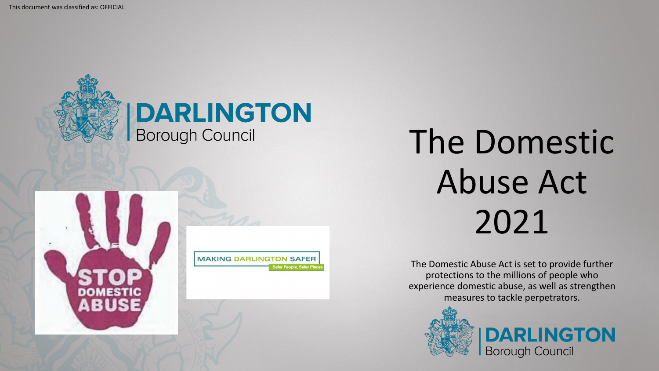

# The Domestic Abuse Act 2021

The Domestic Abuse Act is set to provide further protections to the millions of people who experience domestic abuse, as well as strengthen measures to tackle perpetrators.



**DARLINGTON Borough Council**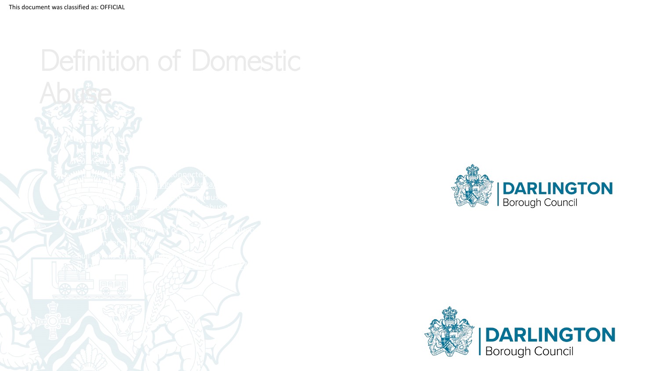



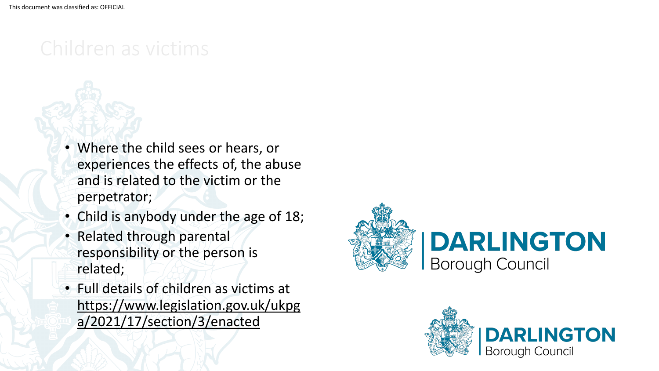### Children as victims

- Where the child sees or hears, or experiences the effects of, the abuse and is related to the victim or the perpetrator;
- Child is anybody under the age of 18;
- Related through parental responsibility or the person is related;
- Full details of children as victims at [https://www.legislation.gov.uk/ukpg](https://www.legislation.gov.uk/ukpga/2021/17/section/3/enacted) a/2021/17/section/3/enacted



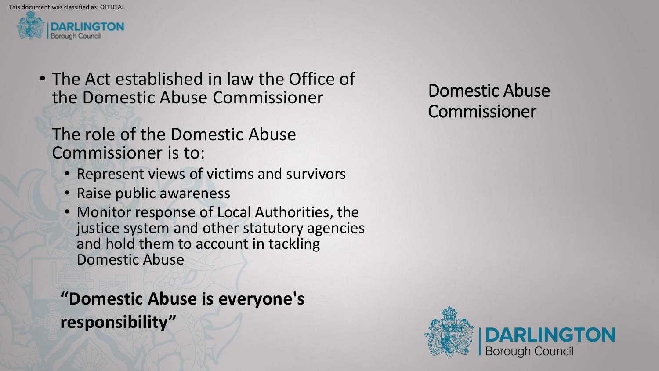

• The Act established in law the Office of the Domestic Abuse Commissioner

### The role of the Domestic Abuse Commissioner is to:

- Represent views of victims and survivors
- Raise public awareness
- Monitor response of Local Authorities, the justice system and other statutory agencies and hold them to account in tackling Domestic Abuse

**"Domestic Abuse is everyone's responsibility"** 

Domestic Abuse Commissioner

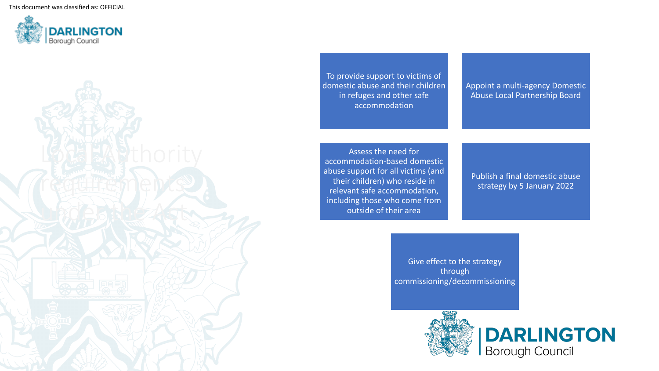

To provide support to victims of domestic abuse and their children in refuges and other safe accommodation Appoint a multi-agency Domestic Abuse Local Partnership Board Assess the need for accommodation-based domestic abuse support for all victims (and their children) who reside in relevant safe accommodation, including those who come from Publish a final domestic abuse strategy by 5 January 2022

outside of their area

Give effect to the strategy through commissioning/decommissioning

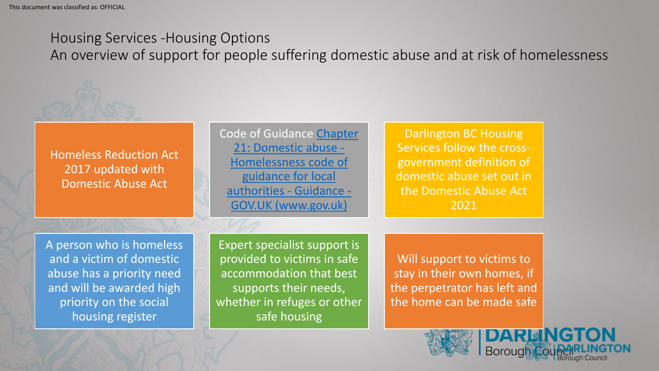#### Housing Services -Housing Options

An overview of support for people suffering domestic abuse and at risk of homelessness

Homeless Reduction Act 2017 updated with Domestic Abuse Act

[Code of Guidance Chapter](https://www.gov.uk/guidance/homelessness-code-of-guidance-for-local-authorities/chapter-21-domestic-abuse) 21: Domestic abuse - Homelessness code of guidance for local authorities - Guidance - GOV.UK (www.gov.uk)

Darlington BC Housing Services follow the crossgovernment definition of domestic abuse set out in the Domestic Abuse Act 2021

A person who is homeless and a victim of domestic abuse has a priority need and will be awarded high priority on the social housing register

Expert specialist support is provided to victims in safe accommodation that best supports their needs, whether in refuges or other safe housing

Will support to victims to stay in their own homes, if the perpetrator has left and the home can be made safe

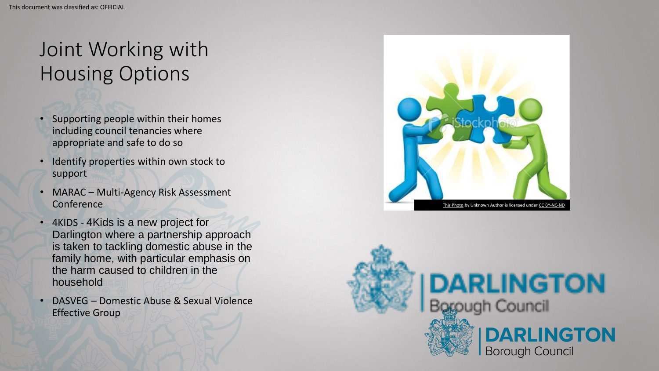## Joint Working with Housing Options

- Supporting people within their homes including council tenancies where appropriate and safe to do so
- Identify properties within own stock to support
- MARAC Multi-Agency Risk Assessment **Conference**
- 4KIDS 4Kids is a new project for Darlington where a partnership approach is taken to tackling domestic abuse in the family home, with particular emphasis on the harm caused to children in the household
- DASVEG Domestic Abuse & Sexual Violence Effective Group



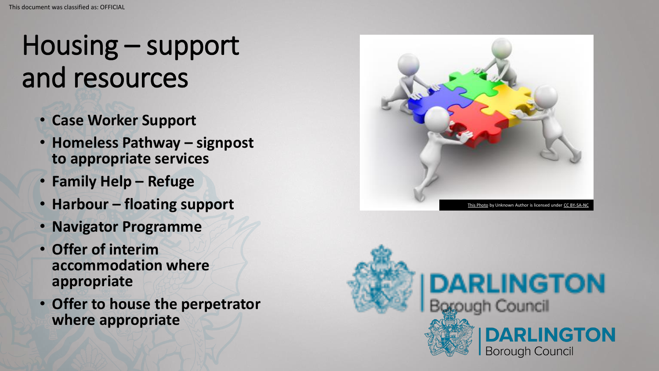## Housing – support and resources

- **Case Worker Support**
- **Homeless Pathway – signpost to appropriate services**
- **Family Help – Refuge**
- **Harbour – floating support**
- **Navigator Programme**
- **Offer of interim accommodation where appropriate**
- **Offer to house the perpetrator where appropriate**



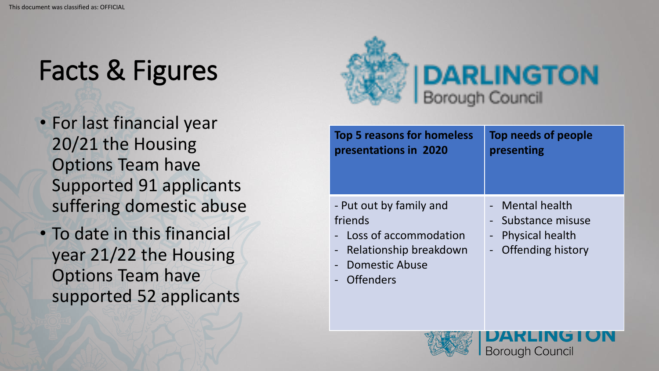## Facts & Figures

- For last financial year 20/21 the Housing Options Team have Supported 91 applicants suffering domestic abuse
- To date in this financial year 21/22 the Housing Options Team have supported 52 applicants



| <b>Top 5 reasons for homeless</b><br>presentations in 2020 | Top needs of people<br>presenting |
|------------------------------------------------------------|-----------------------------------|
| - Put out by family and                                    | <b>Mental health</b>              |
| friends                                                    | - Substance misuse                |
| Loss of accommodation                                      | - Physical health                 |
| Relationship breakdown<br>$\overline{\phantom{a}}$         | - Offending history               |
| <b>Domestic Abuse</b>                                      |                                   |
| <b>Offenders</b>                                           |                                   |

**Borough Council**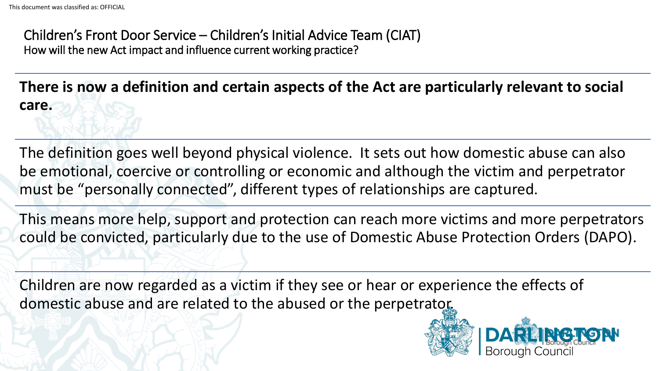Children's Front Door Service – Children's Initial Advice Team (CIAT) How will the new Act impact and influence current working practice?

**There is now a definition and certain aspects of the Act are particularly relevant to social care.**

The definition goes well beyond physical violence. It sets out how domestic abuse can also be emotional, coercive or controlling or economic and although the victim and perpetrator must be "personally connected", different types of relationships are captured.

This means more help, support and protection can reach more victims and more perpetrators could be convicted, particularly due to the use of Domestic Abuse Protection Orders (DAPO).

Children are now regarded as a victim if they see or hear or experience the effects of domestic abuse and are related to the abused or the perpetrator.

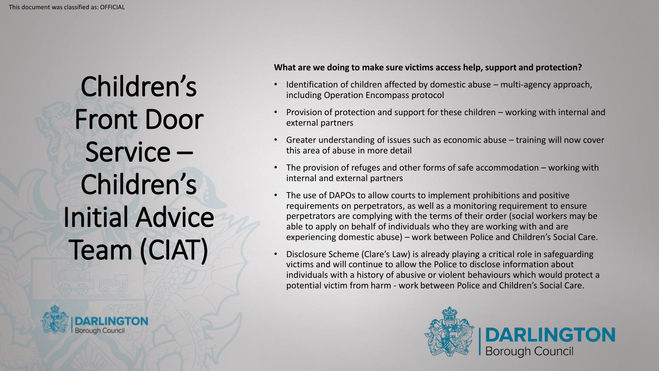Children's Front Door Service – Children's Initial Advice Team (CIAT)



#### **What are we doing to make sure victims access help, support and protection?**

- Identification of children affected by domestic abuse multi-agency approach, including Operation Encompass protocol
- Provision of protection and support for these children working with internal and external partners
- Greater understanding of issues such as economic abuse training will now cover this area of abuse in more detail
- The provision of refuges and other forms of safe accommodation working with internal and external partners
- The use of DAPOs to allow courts to implement prohibitions and positive requirements on perpetrators, as well as a monitoring requirement to ensure perpetrators are complying with the terms of their order (social workers may be able to apply on behalf of individuals who they are working with and are experiencing domestic abuse) – work between Police and Children's Social Care.
- Disclosure Scheme (Clare's Law) is already playing a critical role in safeguarding victims and will continue to allow the Police to disclose information about individuals with a history of abusive or violent behaviours which would protect a potential victim from harm - work between Police and Children's Social Care.

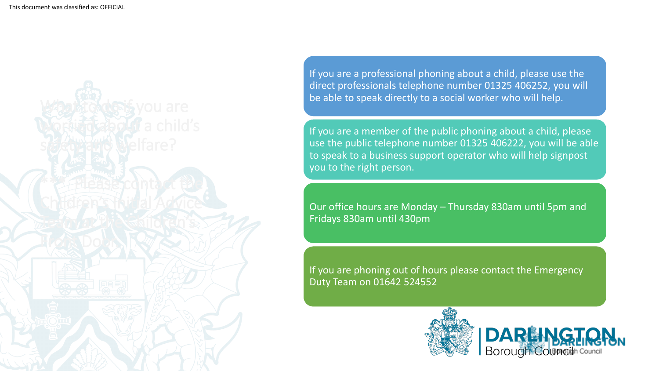

If you are a professional phoning about a child, please use the direct professionals telephone number 01325 406252, you will be able to speak directly to a social worker who will help.

If you are a member of the public phoning about a child, please use the public telephone number 01325 406222, you will be able to speak to a business support operator who will help signpost you to the right person.

Our office hours are Monday – Thursday 830am until 5pm and Fridays 830am until 430pm

If you are phoning out of hours please contact the Emergency Duty Team on 01642 524552

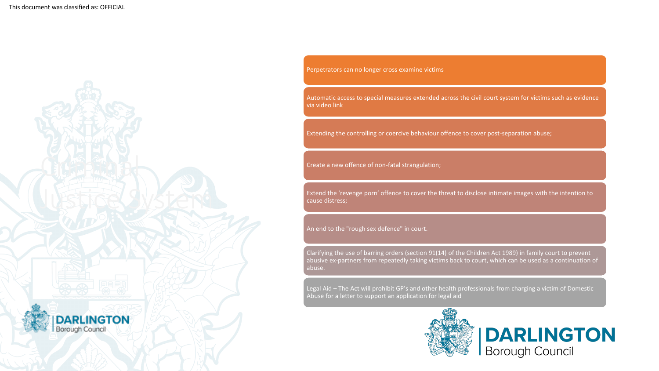

Perpetrators can no longer cross examine victims

Automatic access to special measures extended across the civil court system for victims such as evidence via video link

Extending the controlling or coercive behaviour offence to cover post-separation abuse;

Create a new offence of non-fatal strangulation;

Extend the 'revenge porn' offence to cover the threat to disclose intimate images with the intention to cause distress;

An end to the "rough sex defence" in court.

Clarifying the use of barring orders (section 91(14) of the Children Act 1989) in family court to prevent abusive ex-partners from repeatedly taking victims back to court, which can be used as a continuation of abuse.

Legal Aid – The Act will prohibit GP's and other health professionals from charging a victim of Domestic Abuse for a letter to support an application for legal aid

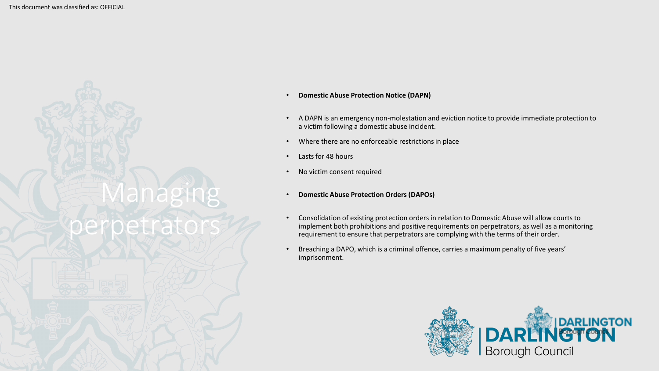

- **Domestic Abuse Protection Notice (DAPN)**
- A DAPN is an emergency non-molestation and eviction notice to provide immediate protection to a victim following a domestic abuse incident.
- Where there are no enforceable restrictions in place
- Lasts for 48 hours
- No victim consent required
- **Domestic Abuse Protection Orders (DAPOs)**
- Consolidation of existing protection orders in relation to Domestic Abuse will allow courts to implement both prohibitions and positive requirements on perpetrators, as well as a monitoring requirement to ensure that perpetrators are complying with the terms of their order.
- Breaching a DAPO, which is a criminal offence, carries a maximum penalty of five years' imprisonment.

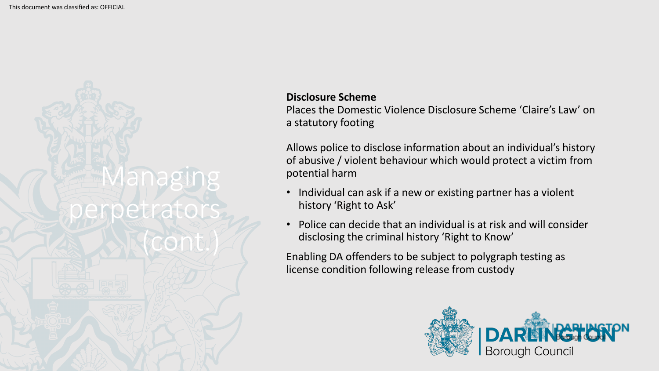

#### **Disclosure Scheme**

Places the Domestic Violence Disclosure Scheme 'Claire's Law' on a statutory footing

Allows police to disclose information about an individual's history of abusive / violent behaviour which would protect a victim from potential harm

- Individual can ask if a new or existing partner has a violent history 'Right to Ask'
- Police can decide that an individual is at risk and will consider disclosing the criminal history 'Right to Know'

Enabling DA offenders to be subject to polygraph testing as license condition following release from custody

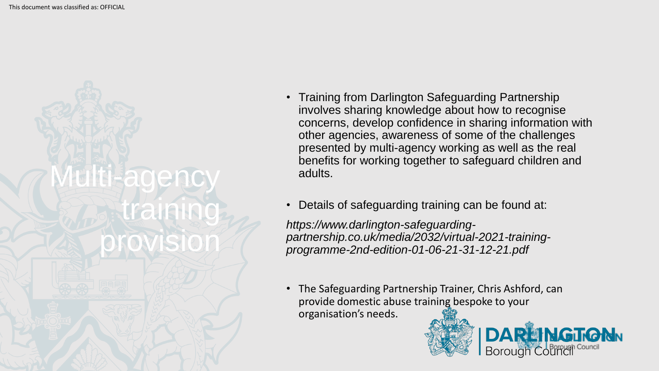

- Training from Darlington Safeguarding Partnership involves sharing knowledge about how to recognise concerns, develop confidence in sharing information with other agencies, awareness of some of the challenges presented by multi-agency working as well as the real benefits for working together to safeguard children and adults.
- Details of safeguarding training can be found at:

*https://www.darlington-safeguardingpartnership.co.uk/media/2032/virtual-2021-trainingprogramme-2nd-edition-01-06-21-31-12-21.pdf*

• The Safeguarding Partnership Trainer, Chris Ashford, can provide domestic abuse training bespoke to your organisation's needs.

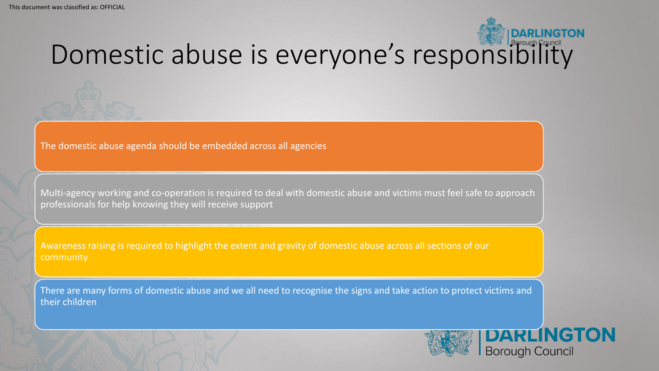# Domestic abuse is everyone's responsibility

The domestic abuse agenda should be embedded across all agencies

Multi-agency working and co-operation is required to deal with domestic abuse and victims must feel safe to approach professionals for help knowing they will receive support

Awareness raising is required to highlight the extent and gravity of domestic abuse across all sections of our community

There are many forms of domestic abuse and we all need to recognise the signs and take action to protect victims and their children

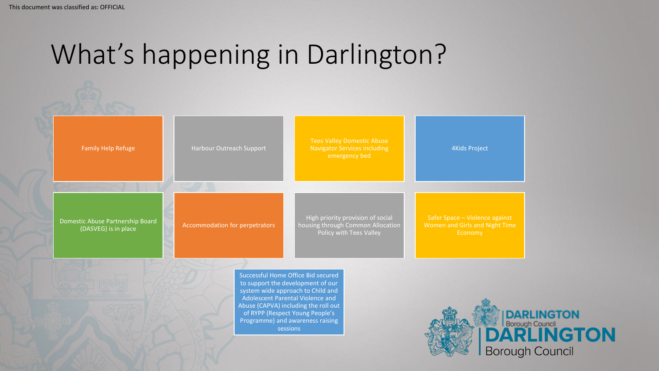## What's happening in Darlington?